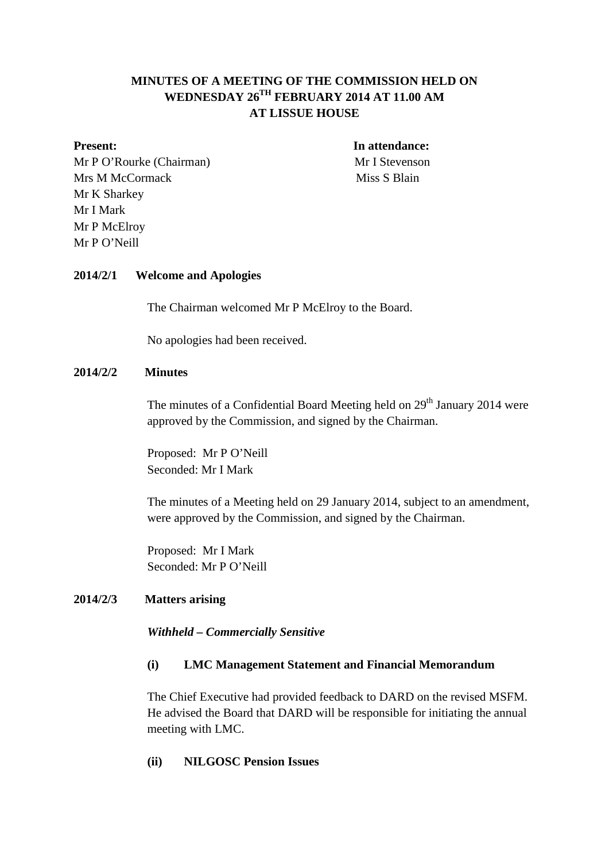# **MINUTES OF A MEETING OF THE COMMISSION HELD ON WEDNESDAY 26TH FEBRUARY 2014 AT 11.00 AM AT LISSUE HOUSE**

Mr P O'Rourke (Chairman) Mr I Stevenson Mrs M McCormack Miss S Blain Mr K Sharkey Mr I Mark Mr P McElroy Mr P O'Neill

**Present:** In attendance:

#### **2014/2/1****Welcome and Apologies**

The Chairman welcomed Mr P McElroy to the Board.

No apologies had been received.

#### **2014/2/2 Minutes**

The minutes of a Confidential Board Meeting held on  $29<sup>th</sup>$  January 2014 were approved by the Commission, and signed by the Chairman.

Proposed: Mr P O'Neill Seconded: Mr I Mark

The minutes of a Meeting held on 29 January 2014, subject to an amendment, were approved by the Commission, and signed by the Chairman.

Proposed: Mr I Mark Seconded: Mr P O'Neill

#### **2014/2/3 Matters arising**

*Withheld – Commercially Sensitive*

## **(i) LMC Management Statement and Financial Memorandum**

The Chief Executive had provided feedback to DARD on the revised MSFM. He advised the Board that DARD will be responsible for initiating the annual meeting with LMC.

## **(ii) NILGOSC Pension Issues**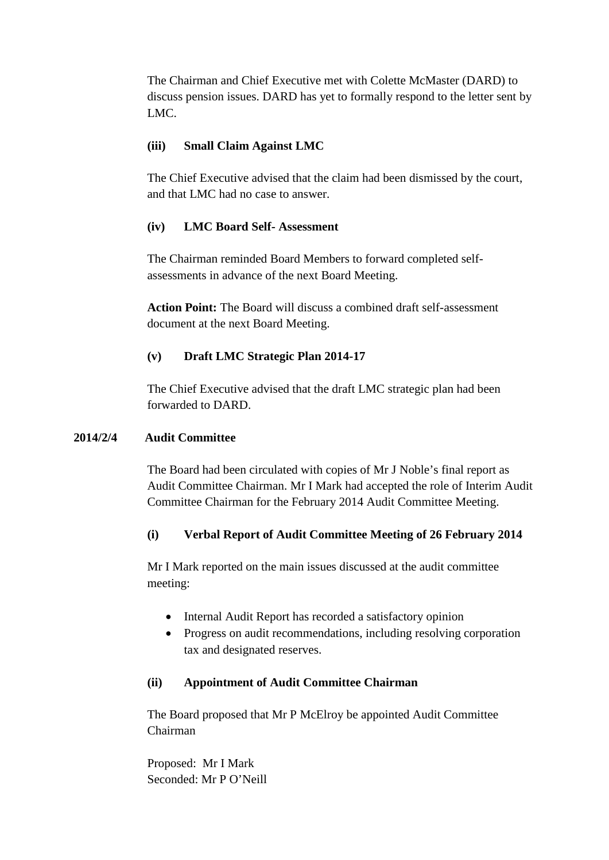The Chairman and Chief Executive met with Colette McMaster (DARD) to discuss pension issues. DARD has yet to formally respond to the letter sent by LMC.

## **(iii) Small Claim Against LMC**

The Chief Executive advised that the claim had been dismissed by the court, and that LMC had no case to answer.

# **(iv) LMC Board Self- Assessment**

The Chairman reminded Board Members to forward completed selfassessments in advance of the next Board Meeting.

**Action Point:** The Board will discuss a combined draft self-assessment document at the next Board Meeting.

# **(v) Draft LMC Strategic Plan 2014-17**

The Chief Executive advised that the draft LMC strategic plan had been forwarded to DARD.

## **2014/2/4 Audit Committee**

The Board had been circulated with copies of Mr J Noble's final report as Audit Committee Chairman. Mr I Mark had accepted the role of Interim Audit Committee Chairman for the February 2014 Audit Committee Meeting.

# **(i) Verbal Report of Audit Committee Meeting of 26 February 2014**

Mr I Mark reported on the main issues discussed at the audit committee meeting:

- Internal Audit Report has recorded a satisfactory opinion
- Progress on audit recommendations, including resolving corporation tax and designated reserves.

## **(ii) Appointment of Audit Committee Chairman**

The Board proposed that Mr P McElroy be appointed Audit Committee Chairman

Proposed: Mr I Mark Seconded: Mr P O'Neill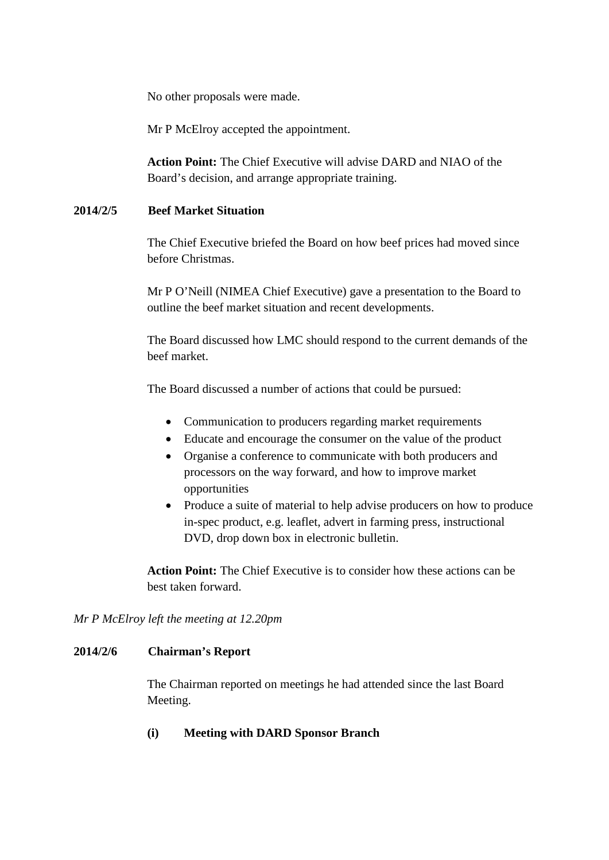No other proposals were made.

Mr P McElroy accepted the appointment.

**Action Point:** The Chief Executive will advise DARD and NIAO of the Board's decision, and arrange appropriate training.

## **2014/2/5 Beef Market Situation**

The Chief Executive briefed the Board on how beef prices had moved since before Christmas.

Mr P O'Neill (NIMEA Chief Executive) gave a presentation to the Board to outline the beef market situation and recent developments.

The Board discussed how LMC should respond to the current demands of the beef market.

The Board discussed a number of actions that could be pursued:

- Communication to producers regarding market requirements
- Educate and encourage the consumer on the value of the product
- Organise a conference to communicate with both producers and processors on the way forward, and how to improve market opportunities
- Produce a suite of material to help advise producers on how to produce in-spec product, e.g. leaflet, advert in farming press, instructional DVD, drop down box in electronic bulletin.

**Action Point:** The Chief Executive is to consider how these actions can be best taken forward.

*Mr P McElroy left the meeting at 12.20pm*

### **2014/2/6 Chairman's Report**

The Chairman reported on meetings he had attended since the last Board Meeting.

**(i) Meeting with DARD Sponsor Branch**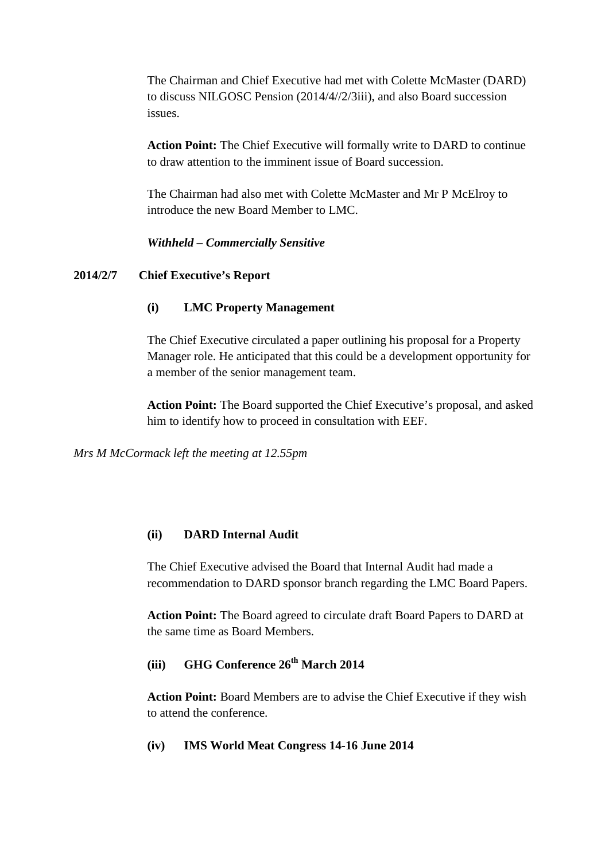The Chairman and Chief Executive had met with Colette McMaster (DARD) to discuss NILGOSC Pension (2014/4//2/3iii), and also Board succession issues.

**Action Point:** The Chief Executive will formally write to DARD to continue to draw attention to the imminent issue of Board succession.

The Chairman had also met with Colette McMaster and Mr P McElroy to introduce the new Board Member to LMC.

*Withheld – Commercially Sensitive*

## **2014/2/7 Chief Executive's Report**

## **(i) LMC Property Management**

The Chief Executive circulated a paper outlining his proposal for a Property Manager role. He anticipated that this could be a development opportunity for a member of the senior management team.

**Action Point:** The Board supported the Chief Executive's proposal, and asked him to identify how to proceed in consultation with EEF.

*Mrs M McCormack left the meeting at 12.55pm*

## **(ii) DARD Internal Audit**

The Chief Executive advised the Board that Internal Audit had made a recommendation to DARD sponsor branch regarding the LMC Board Papers.

**Action Point:** The Board agreed to circulate draft Board Papers to DARD at the same time as Board Members.

# **(iii)** GHG Conference  $26^{th}$  March 2014

**Action Point:** Board Members are to advise the Chief Executive if they wish to attend the conference.

### **(iv) IMS World Meat Congress 14-16 June 2014**